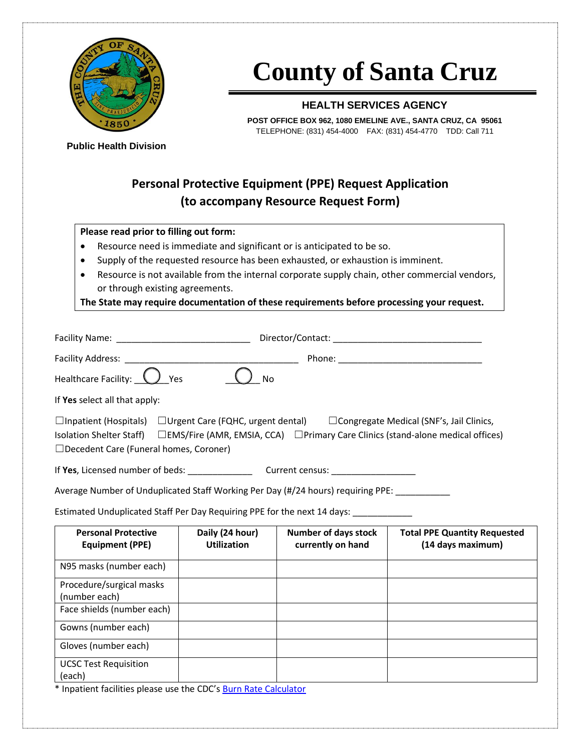

# **County of Santa Cruz**

#### **HEALTH SERVICES AGENCY**

**POST OFFICE BOX 962, 1080 EMELINE AVE., SANTA CRUZ, CA 95061** TELEPHONE: (831) 454-4000 FAX: (831) 454-4770 TDD: Call 711

**Public Health Division**

### **Personal Protective Equipment (PPE) Request Application (to accompany Resource Request Form)**

#### **Please read prior to filling out form:**

- Resource need is immediate and significant or is anticipated to be so.
- Supply of the requested resource has been exhausted, or exhaustion is imminent.
- Resource is not available from the internal corporate supply chain, other commercial vendors, or through existing agreements.

**The State may require documentation of these requirements before processing your request.**

| Facility Name: The contract of the contract of the contract of the contract of the contract of the contract of the contract of the contract of the contract of the contract of the contract of the contract of the contract of | Director/Contact:                                                                                                                                    |  |  |  |  |
|--------------------------------------------------------------------------------------------------------------------------------------------------------------------------------------------------------------------------------|------------------------------------------------------------------------------------------------------------------------------------------------------|--|--|--|--|
| <b>Facility Address:</b>                                                                                                                                                                                                       | Phone:                                                                                                                                               |  |  |  |  |
| Healthcare Facility:<br>Yes<br><b>No</b>                                                                                                                                                                                       |                                                                                                                                                      |  |  |  |  |
| If Yes select all that apply:                                                                                                                                                                                                  |                                                                                                                                                      |  |  |  |  |
| $\Box$ Inpatient (Hospitals)<br>$\Box$ Urgent Care (FQHC, urgent dental)<br><b>Isolation Shelter Staff)</b><br>$\Box$ Decedent Care (Funeral homes, Coroner)                                                                   | $\Box$ Congregate Medical (SNF's, Jail Clinics,<br>$\square$ EMS/Fire (AMR, EMSIA, CCA) $\square$ Primary Care Clinics (stand-alone medical offices) |  |  |  |  |
| If Yes, Licensed number of beds:                                                                                                                                                                                               | Current census:                                                                                                                                      |  |  |  |  |

Average Number of Unduplicated Staff Working Per Day (#/24 hours) requiring PPE: \_\_\_\_\_\_\_

Estimated Unduplicated Staff Per Day Requiring PPE for the next 14 days: \_

| <b>Personal Protective</b><br><b>Equipment (PPE)</b> | Daily (24 hour)<br><b>Utilization</b> | <b>Number of days stock</b><br>currently on hand | <b>Total PPE Quantity Requested</b><br>(14 days maximum) |
|------------------------------------------------------|---------------------------------------|--------------------------------------------------|----------------------------------------------------------|
| N95 masks (number each)                              |                                       |                                                  |                                                          |
| Procedure/surgical masks<br>(number each)            |                                       |                                                  |                                                          |
| Face shields (number each)                           |                                       |                                                  |                                                          |
| Gowns (number each)                                  |                                       |                                                  |                                                          |
| Gloves (number each)                                 |                                       |                                                  |                                                          |
| <b>UCSC Test Requisition</b><br>(each)               |                                       |                                                  |                                                          |

\* Inpatient facilities please use the CDC's [Burn Rate Calculator](https://www.cdc.gov/coronavirus/2019-ncov/hcp/ppe-strategy/burn-calculator.html)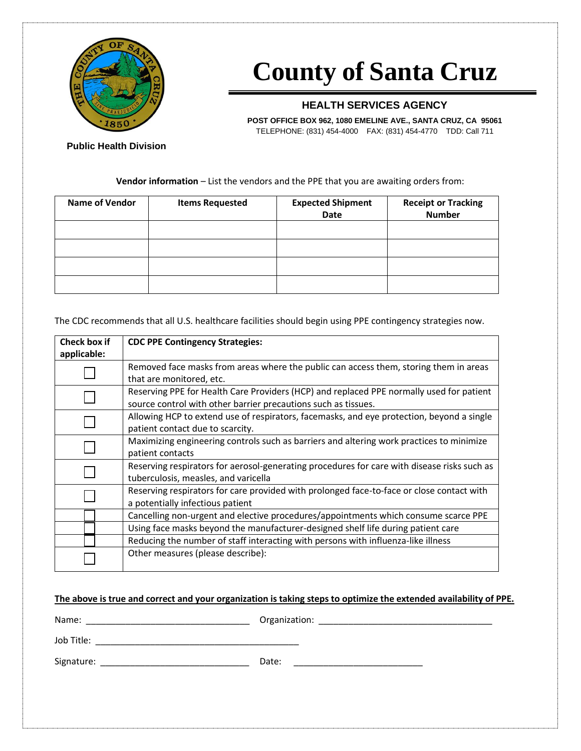

# **County of Santa Cruz**

### **HEALTH SERVICES AGENCY**

**POST OFFICE BOX 962, 1080 EMELINE AVE., SANTA CRUZ, CA 95061** TELEPHONE: (831) 454-4000 FAX: (831) 454-4770 TDD: Call 711

**Public Health Division**

#### **Vendor information** – List the vendors and the PPE that you are awaiting orders from:

| <b>Name of Vendor</b> | <b>Items Requested</b> | <b>Expected Shipment</b><br>Date | <b>Receipt or Tracking</b><br><b>Number</b> |  |  |
|-----------------------|------------------------|----------------------------------|---------------------------------------------|--|--|
|                       |                        |                                  |                                             |  |  |
|                       |                        |                                  |                                             |  |  |
|                       |                        |                                  |                                             |  |  |
|                       |                        |                                  |                                             |  |  |

The CDC recommends that all U.S. healthcare facilities should begin using PPE contingency strategies now.

| Check box if<br>applicable: | <b>CDC PPE Contingency Strategies:</b>                                                                                                                     |
|-----------------------------|------------------------------------------------------------------------------------------------------------------------------------------------------------|
|                             | Removed face masks from areas where the public can access them, storing them in areas<br>that are monitored, etc.                                          |
|                             | Reserving PPE for Health Care Providers (HCP) and replaced PPE normally used for patient<br>source control with other barrier precautions such as tissues. |
|                             | Allowing HCP to extend use of respirators, facemasks, and eye protection, beyond a single<br>patient contact due to scarcity.                              |
|                             | Maximizing engineering controls such as barriers and altering work practices to minimize<br>patient contacts                                               |
|                             | Reserving respirators for aerosol-generating procedures for care with disease risks such as<br>tuberculosis, measles, and varicella                        |
|                             | Reserving respirators for care provided with prolonged face-to-face or close contact with<br>a potentially infectious patient                              |
|                             | Cancelling non-urgent and elective procedures/appointments which consume scarce PPE                                                                        |
|                             | Using face masks beyond the manufacturer-designed shelf life during patient care                                                                           |
|                             | Reducing the number of staff interacting with persons with influenza-like illness                                                                          |
|                             | Other measures (please describe):                                                                                                                          |

| The above is true and correct and your organization is taking steps to optimize the extended availability of PPE. |
|-------------------------------------------------------------------------------------------------------------------|
|-------------------------------------------------------------------------------------------------------------------|

| Name:      | Organization: |
|------------|---------------|
| Job Title: |               |
| Signature: | Date:         |